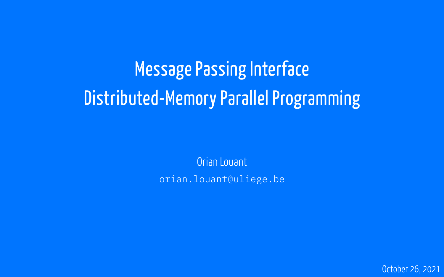# Message Passing Interface Distributed-Memory Parallel Programming

Orian Louant orian.louant@uliege.be

October 26, 2021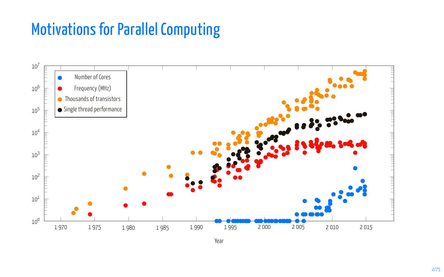#### Motivations for Parallel Computing



Year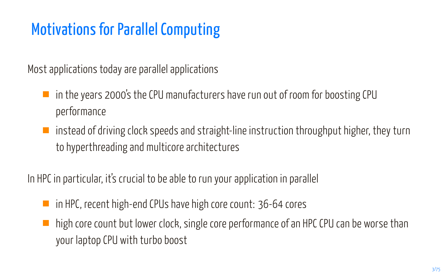### Motivations for Parallel Computing

Most applications today are parallel applications

- $\blacksquare$  in the years 2000's the CPU manufacturers have run out of room for boosting CPU performance
- **Instead of driving clock speeds and straight-line instruction throughput higher, they turn** to hyperthreading and multicore architectures

In HPC in particular, it's crucial to be able to run your application in parallel

- in HPC, recent high-end CPUs have high core count: 36-64 cores
- $\blacksquare$  high core count but lower clock, single core performance of an HPC CPU can be worse than your laptop CPU with turbo boost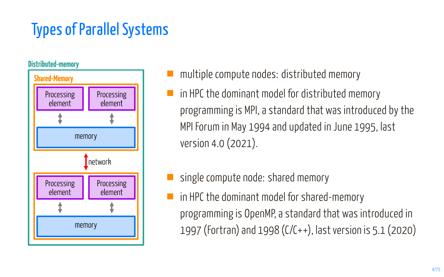### Types of Parallel Systems

**Distributed-memory** 



- multiple compute nodes: distributed memory
- $\blacksquare$  in HPC the dominant model for distributed memory programming is MPI, a standard that was introduced by the MPI Forum in May 1994 and updated in June 1995, last version 4.0 (2021).
- single compute node: shared memory
- in HPC the dominant model for shared-memory programming is OpenMP, a standard that was introduced in 1997 (Fortran) and 1998 (C/C++), last version is 5.1 (2020)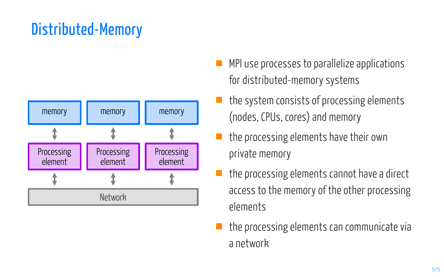### Distributed-Memory



- MPI use processes to parallelize applications for distributed-memory systems
- the system consists of processing elements (nodes, CPUs, cores) and memory
- the processing elements have their own private memory
- the processing elements cannot have a direct access to the memory of the other processing elements
- the processing elements can communicate via a network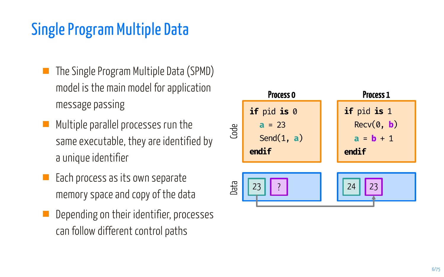#### Single Program Multiple Data

- The Single Program Multiple Data (SPMD) model is the main model for application message passing
- **Multiple parallel processes run the** same executable, they are identified by a unique identifier
- $\blacksquare$  Each process as its own separate memory space and copy of the data
- Depending on their identifier, processes can follow different control paths

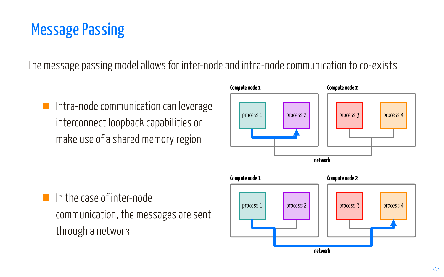### Message Passing

The message passing model allows for inter-node and intra-node communication to co-exists

**Intra-node communication can leverage** interconnect loopback capabilities or make use of a shared memory region



 $\blacksquare$  In the case of inter-node communication, the messages are sent through a network

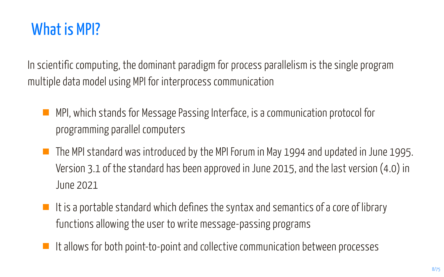#### What is MPI?

In scientific computing, the dominant paradigm for process parallelism is the single program multiple data model using MPI for interprocess communication

- MPI, which stands for Message Passing Interface, is a communication protocol for programming parallel computers
- $\blacksquare$  The MPI standard was introduced by the MPI Forum in May 1994 and updated in June 1995. Version 3.1 of the standard has been approved in June 2015, and the last version (4.0) in June 2021
- $\blacksquare$  It is a portable standard which defines the syntax and semantics of a core of library functions allowing the user to write message-passing programs
- $\blacksquare$  It allows for both point-to-point and collective communication between processes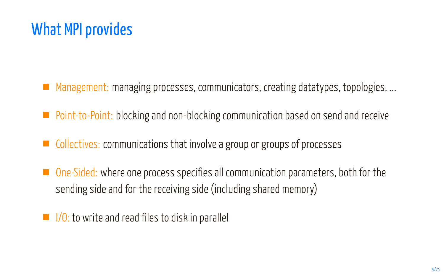#### What MPI provides

- Management: managing processes, communicators, creating datatypes, topologies, ...
- Point-to-Point: blocking and non-blocking communication based on send and receive
- $\blacksquare$  Collectives: communications that involve a group or groups of processes
- $\Box$  One-Sided: where one process specifies all communication parameters, both for the sending side and for the receiving side (including shared memory)
- $\blacksquare$  I/O: to write and read files to disk in parallel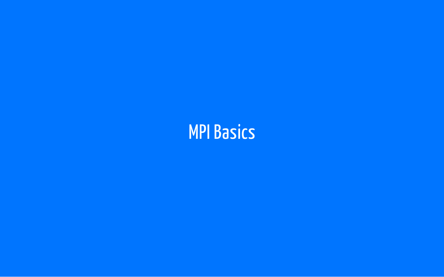# MPI Basics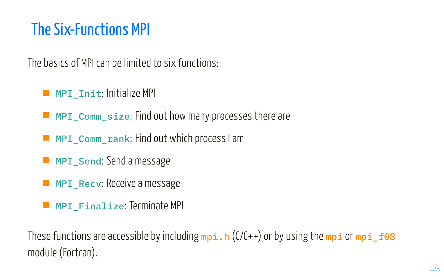### The Six-Functions MPI

The basics of MPI can be limited to six functions:

- $\blacksquare$  MPI\_Init: Initialize MPI
- **MPI** Comm size: Find out how many processes there are
- **MPI** Comm rank: Find out which process I am
- **MPI** Send: Send a message
- **MPI** Recv: Receive a message
- **MPI** Finalize: Terminate MPI

These functions are accessible by including  $mpi$ .  $h(C(\mathcal{C}++)$  or by using the mpi or mpi  $f$ 08 module (Fortran).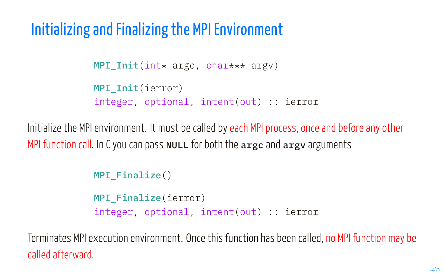#### Initializing and Finalizing the MPI Environment

```
MPI Init(int* argc, char*** argv)
MPI Init(ierror)
integer, optional, intent(out) :: ierror
```
Initialize the MPI environment. It must be called by each MPI process, once and before any other MPI function call. In C you can pass **NULL** for both the argc and argy arguments

```
MPI Finalize()
MPI Finalize(ierror)
integer, optional, intent(out) :: ierror
```
Terminates MPI execution environment. Once this function has been called, no MPI function may be called afterward.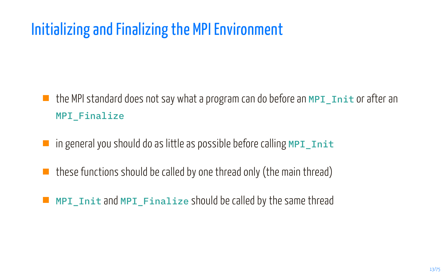### Initializing and Finalizing the MPI Environment

- $\blacksquare$  the MPI standard does not say what a program can do before an  $\blacksquare\blacksquare$  init or after an MPI\_Finalize
- $\blacksquare$  in general you should do as little as possible before calling MPI  $\blacksquare$
- $\blacksquare$  these functions should be called by one thread only (the main thread)
- MPI Init and MPI Finalize should be called by the same thread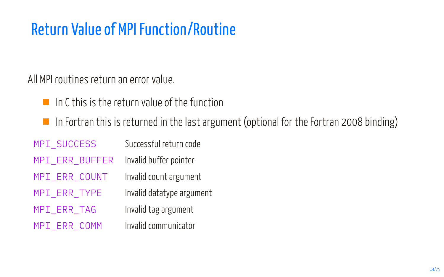### Return Value of MPI Function/Routine

All MPI routines return an error value.

- $\blacksquare$  In C this is the return value of the function
- $\blacksquare$  In Fortran this is returned in the last argument (optional for the Fortran 2008 binding)

| MPI_SUCCESS    | Successful return code    |
|----------------|---------------------------|
| MPI_ERR_BUFFER | Invalid buffer pointer    |
| MPI_ERR_COUNT  | Invalid count argument    |
| MPI ERR TYPE   | Invalid datatype argument |
| MPI ERR TAG    | Invalid tag argument      |
| MPI ERR COMM   | Invalid communicator      |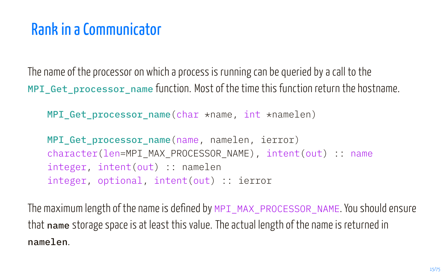#### Rank in a Communicator

The name of the processor on which a process is running can be queried by a call to the MPI\_Get\_processor\_name function. Most of the time this function return the hostname.

```
MPI Get processor name(char *name, int *namelen)
```

```
MPI Get processor name(name, namelen, ierror)
character(len=MPI_MAX_PROCESSOR_NAME), intent(out) :: name
integer, intent(out) :: namelen
integer, optional, intent(out) :: ierror
```
The maximum length of the name is defined by MPI\_MAX\_PROCESSOR\_NAME. You should ensure that name storage space is at least this value. The actual length of the name is returned in namelen.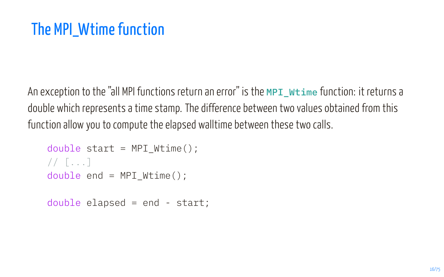### The MPI\_Wtime function

An exception to the "all MPI functions return an error" is the MPI\_Wtime function: it returns a double which represents a time stamp. The difference between two values obtained from this function allow you to compute the elapsed walltime between these two calls.

```
double start = MPI Wtime();
// [...]
double end = MPI Wtime();
double elapsed = end - start;
```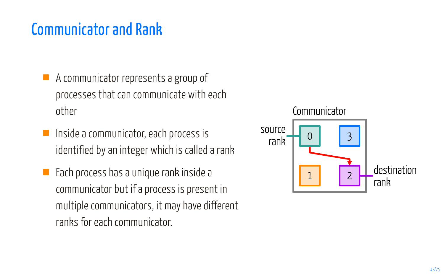#### Communicator and Rank

- $\blacksquare$  A communicator represents a group of processes that can communicate with each other
- **Inside a communicator, each process is** identified by an integer which is called a rank
- **Each process has a unique rank inside a** communicator but if a process is present in multiple communicators, it may have different ranks for each communicator.

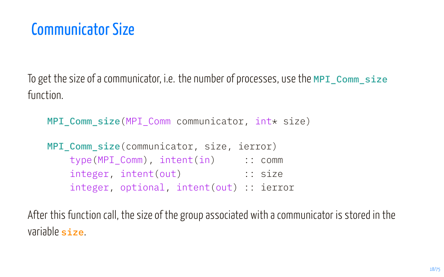#### Communicator Size

To get the size of a communicator, i.e. the number of processes, use the MPI\_Comm\_size function.

```
MPI Comm size(MPI Comm communicator, int* size)
MPI Comm size(communicator, size, ierror)
   type(MPI_Comm), intent(in) :: comm
   integer, intent(out) :: size
   integer, optional, intent(out) :: ierror
```
After this function call, the size of the group associated with a communicator is stored in the variable size.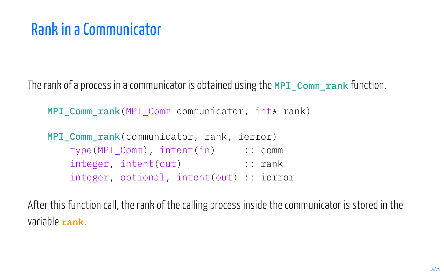#### Rank in a Communicator

The rank of a process in a communicator is obtained using the  $MPI$  comm rank function.

```
MPI Comm rank(MPI Comm communicator, int* rank)
```

```
MPI Comm rank(communicator, rank, ierror)
   type(MPI_Comm), intent(in) :: comm
   integer, intent(out) :: rank
   integer, optional, intent(out) :: ierror
```
After this function call, the rank of the calling process inside the communicator is stored in the variable rank.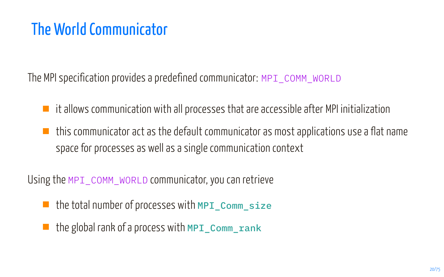### The World Communicator

The MPI specification provides a predefined communicator: MPI\_COMM\_WORLD

- $\blacksquare$  it allows communication with all processes that are accessible after MPI initialization
- $\blacksquare$  this communicator act as the default communicator as most applications use a flat name space for processes as well as a single communication context

Using the MPI\_COMM\_WORLD communicator, you can retrieve

- $\blacksquare$  the total number of processes with MPI  $\complement$  comm size
- $\blacksquare$  the global rank of a process with MPI comm rank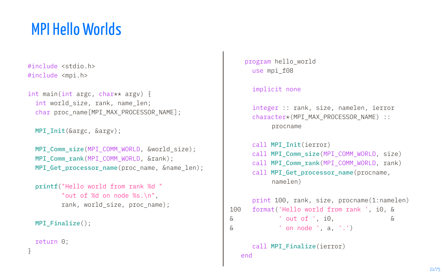#### MPI Hello Worlds

```
#include <stdio.h>
#include <mpi.h>
```

```
int main(int argc, char** argv) \{int world size, rank, name len;
 char proc_name[MPI_MAX_PROCESSOR_NAME];
```

```
MPI_Init(&argc, &argv);
```

```
MPI Comm_size(MPI_COMM_WORLD, &world_size);
MPI Comm_rank(MPI_COMM_WORLD, &rank);
MPI Get processor name(proc_name, &name len);
```

```
printf("Hello world from rank %d "
       "out of %d on node %s.\n",
       rank, world_size, proc_name);
```

```
MPI_Finalize();
```
return 0;

}

```
program hello_world
 use mpi_f08
```
#### implicit none

```
integer :: rank, size, namelen, ierror
character*(MPI_MAX_PROCESSOR_NAME) ::
     procname
```

```
call MPI_Init(ierror)
call MPI_Comm_size(MPI_COMM_WORLD, size)
call MPI Comm_rank(MPI_COMM_WORLD, rank)
call MPI Get processor name(procname,
     namelen)
```

```
print 100, rank, size, procname(1:namelen)
100 format('Hello world from rank ', i0, &
\kappa ' out of ', i0, \kappa& ' on node ', a, '.')
```

```
call MPI Finalize(ierror)
end
```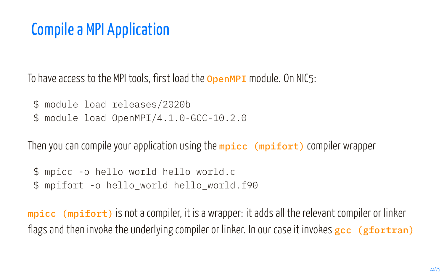#### Compile a MPI Application

To have access to the MPI tools, first load the **OpenMPI** module. On NIC5:

- \$ module load releases/2020b
- \$ module load OpenMPI/4.1.0-GCC-10.2.0

Then you can compile your application using the mpicc (mpifort) compiler wrapper

- \$ mpicc -o hello world hello world.c
- \$ mpifort -o hello\_world hello\_world.f90

mpicc (mpifort) is not a compiler, it is a wrapper: it adds all the relevant compiler or linker flags and then invoke the underlying compiler or linker. In our case it invokes gcc (gfortran)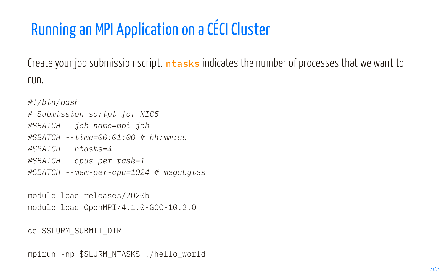### Running an MPI Application on a CÉCI Cluster

Create your job submission script. ntasks indicates the number of processes that we want to run.

*#!/bin/bash # Submission script for NIC5 #SBATCH --job-name=mpi-job #SBATCH --time=00:01:00 # hh:mm:ss #SBATCH --ntasks=4 #SBATCH --cpus-per-task=1 #SBATCH --mem-per-cpu=1024 # megabytes*

module load releases/2020b module load OpenMPI/4.1.0-GCC-10.2.0

```
cd $SLURM_SUBMIT_DIR
```
mpirun -np \$SLURM\_NTASKS ./hello\_world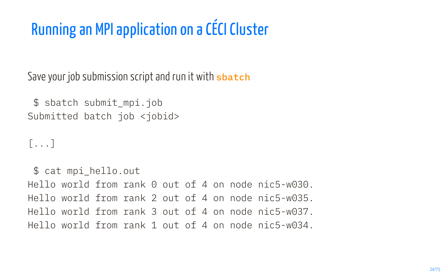### Running an MPI application on a CÉCI Cluster

Save your job submission script and run it with sbatch

\$ sbatch submit\_mpi.job Submitted batch job <jobid>

 $[. . .1]$ 

\$ cat mpi\_hello.out Hello world from rank 0 out of 4 on node nic5-w030. Hello world from rank 2 out of 4 on node nic5-w035. Hello world from rank 3 out of 4 on node nic5-w037. Hello world from rank 1 out of 4 on node nic5-w034.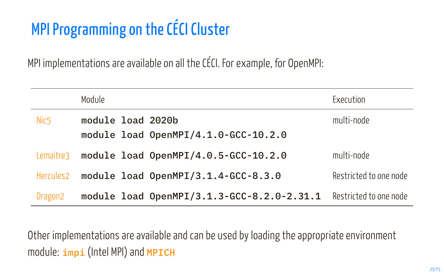## MPI Programming on the CÉCI Cluster

MPI implementations are available on all the CÉCI. For example, for OpenMPI:

|           | Module                                                    | Execution              |
|-----------|-----------------------------------------------------------|------------------------|
| Nic5      | module load 2020b<br>module load OpenMPI/4.1.0-GCC-10.2.0 | multi-node             |
| Lemaitre3 | module load OpenMPI/4.0.5-GCC-10.2.0                      | multi-node             |
| Hercules2 | module load OpenMPI/3.1.4-GCC-8.3.0                       | Restricted to one node |
| Dragon2   | module load OpenMPI/3.1.3-GCC-8.2.0-2.31.1                | Restricted to one node |

Other implementations are available and can be used by loading the appropriate environment module:  $\text{impi}$  (Intel MPI) and MPICH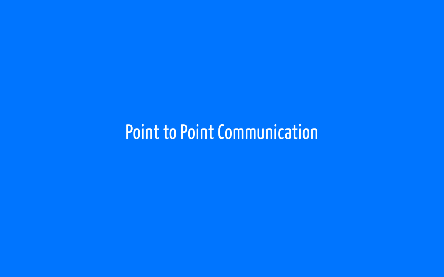# Point to Point Communication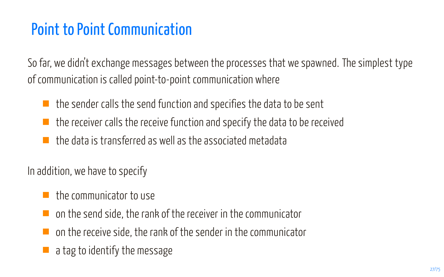#### Point to Point Communication

So far, we didn't exchange messages between the processes that we spawned. The simplest type of communication is called point-to-point communication where

- $\blacksquare$  the sender calls the send function and specifies the data to be sent
- $\blacksquare$  the receiver calls the receive function and specify the data to be received
- **T** the data is transferred as well as the associated metadata

In addition, we have to specify

- $\blacksquare$  the communicator to use
- on the send side, the rank of the receiver in the communicator
- on the receive side, the rank of the sender in the communicator
- $\blacksquare$  a tag to identify the message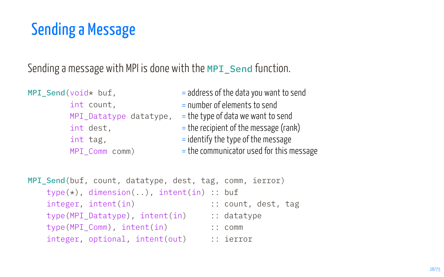### Sending a Message

Sending a message with MPI is done with the MPI send function.

```
MPI Send(void* buf,
    int count,
    int dest,
    int tag,
    MPI_Comm comm)
```
- = address of the data you want to send
- = number of elements to send
- MPI\_Datatype datatype, = the type of data we want to send
	- $=$  the recipient of the message (rank)
	- = identify the type of the message
	- = the communicator used for this message

```
MPI_Send(buf, count, datatype, dest, tag, comm, ierror)
   type(*), dimension(..), intent(in) :: buf
   integer, intent(in) :: count, dest, tag
   type(MPI_Datatype), intent(in) :: datatype
   type(MPI_Comm), intent(in) :: comm
   integer, optional, intent(out) :: ierror
```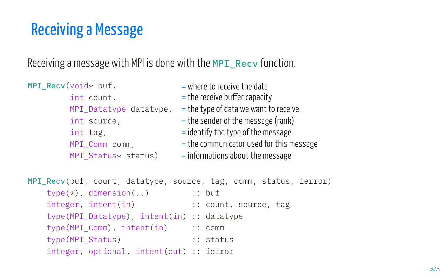### Receiving a Message

Receiving a message with MPI is done with the MPI\_Recy function.

```
MPI\_Recv (void* buf, = where to receive the data
         int count, = the receive buffer capacity
         MPI_Datatype datatype,
= the type of data we want to receive
         int source, = the sender of the message (rank)
         int tag, = identify the type of the message
         MPI_Comm comm,
= the communicator used for this message
         MPI_Status* status)
= informations about the message
MPI Recv(buf, count, datatype, source, tag, comm, status, ierror)
   type(*), dimension(..) :: buf
   integer, intent(in) :: count, source, tag
   type(MPI_Datatype), intent(in) :: datatype
   type(MPI_Comm), intent(in) :: comm
   type(MPI_Status) :: status
   integer, optional, intent(out) :: ierror
```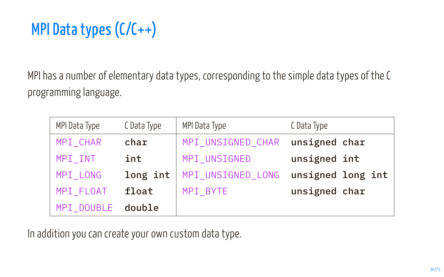### MPI Data types (C/C++)

MPI has a number of elementary data types, corresponding to the simple data types of the C programming language.

| MPI Data Type | C Data Type | MPI Data Type     | C Data Type       |
|---------------|-------------|-------------------|-------------------|
| MPI_CHAR      | char        | MPI UNSIGNED CHAR | unsigned char     |
| MPI_INT       | int         | MPI UNSIGNED      | unsigned int      |
| MPI LONG      | long int    | MPI_UNSIGNED_LONG | unsigned long int |
| MPI FLOAT     | float       | MPI_BYTE          | unsigned char     |
| MPI DOUBLE    | double      |                   |                   |

In addition you can create your own custom data type.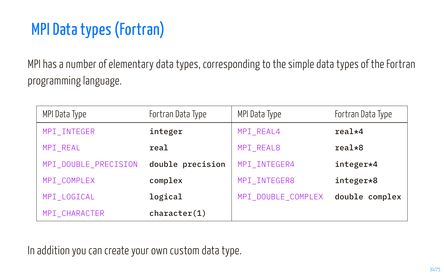### MPI Data types (Fortran)

MPI has a number of elementary data types, corresponding to the simple data types of the Fortran programming language.

| MPI Data Type        | Fortran Data Type | MPI Data Type      | Fortran Data Type |
|----------------------|-------------------|--------------------|-------------------|
| MPI INTEGER          | integer           | MPI REAL4          | $real*4$          |
| MPI REAL             | real              | MPI REAL8          | $real*8$          |
| MPI DOUBLE PRECISION | double precision  | MPI INTEGER4       | integer*4         |
| MPI COMPLEX          | complex           | MPI INTEGER8       | integer*8         |
| MPI LOGICAL          | logical           | MPI DOUBLE COMPLEX | double complex    |
| MPI CHARACTER        | character(1)      |                    |                   |

In addition you can create your own custom data type.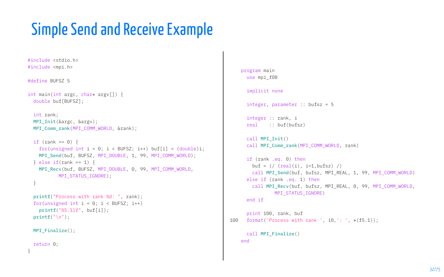### Simple Send and Receive Example

```
#include <stdio.h>
#include <mpi.h>
#define BUFSZ 5
int main(int argc, char* argy[]) \{double buf[BUFSZ];
  int rank;
  MPI Init(&argc, &argy);
  MPI Comm_rank(MPI_COMM_WORLD, &rank);
  if (\text{rank} == 0) {
    for(unsigned int i = 0; i < BUFSZ; i++) buf[i] = (double)i;
    MPI_Send(buf, BUFSZ, MPI_DOUBLE, 1, 99, MPI_COMM_WORLD);
  3 else if(rank == 1) 3MPI_Recv(buf, BUFSZ, MPI_DOUBLE, 0, 99, MPI_COMM_WORLD,
           MPI_STATUS_IGNORE);
  }
  printf("Process with rank %d: ", rank);
  for(unsigned int i = 0; i < BUFSZ; i++)
    printf("%5.1lf", buf[i]);
  print(f("n");
  MPI_Finalize();
  return 0;
}
```

```
program main
     use mpi_f08
      implicit none
     integer, parameter :: bufsz = 5
     integer :: rank, i
     real :: buf(bufsz)
     call MPI_Init()
     call MPI Comm_rank(MPI_COMM_WORLD, rank)
     if (rank .eq. 0) then
       buf = \left(\frac{\ }{} (real(i), i=1,bufsz) /)
       call MPI_Send(buf, bufsz, MPI_REAL, 1, 99, MPI_COMM_WORLD)
     else if (rank .eq. 1) then
       call MPI_Recv(buf, bufsz, MPI_REAL, 0, 99, MPI_COMM_WORLD,
               MPI_STATUS_IGNORE)
     end if
     print 100, rank, buf
100 format('Process with rank ', i0,': ', *(f5.1));
     call MPI Finalize()
    end
```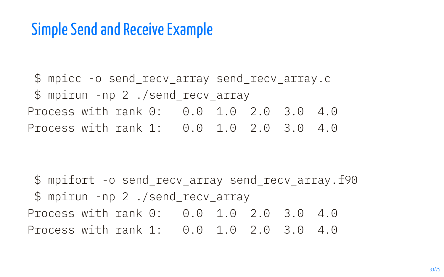#### Simple Send and Receive Example

\$ mpicc -o send\_recv\_array send\_recv\_array.c \$ mpirun -np 2 ./send\_recv\_array Process with rank 0: 0.0 1.0 2.0 3.0 4.0 Process with rank 1: 0.0 1.0 2.0 3.0 4.0

\$ mpifort -o send\_recv\_array send\_recv\_array.f90 \$ mpirun -np 2 ./send\_recv\_array Process with rank 0: 0.0 1.0 2.0 3.0 4.0 Process with rank 1: 0.0 1.0 2.0 3.0 4.0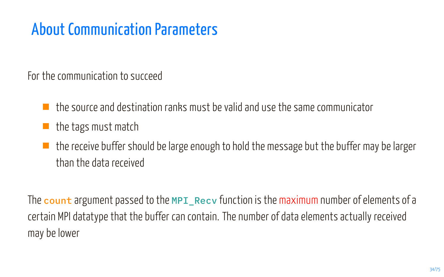### About Communication Parameters

For the communication to succeed

- $\blacksquare$  the source and destination ranks must be valid and use the same communicator
- $\blacksquare$  the tags must match
- $\blacksquare$  the receive buffer should be large enough to hold the message but the buffer may be larger than the data received

The count argument passed to the MPI\_Recv function is the maximum number of elements of a certain MPI datatype that the buffer can contain. The number of data elements actually received may be lower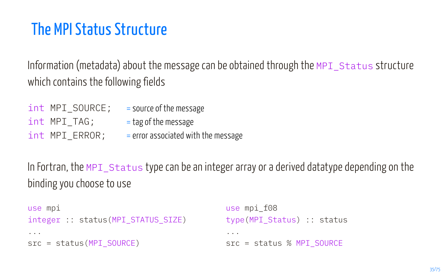#### The MPI Status Structure

Information (metadata) about the message can be obtained through the MPI\_Status structure which contains the following fields

| int MPI SOURCE; | $=$ source of the message           |
|-----------------|-------------------------------------|
| int MPI TAG;    | $=$ tag of the message              |
| int MPI ERROR;  | = error associated with the message |

In Fortran, the MPI status type can be an integer array or a derived datatype depending on the binding you choose to use

```
use mpi
integer :: status(MPI_STATUS_SIZE)
...
src = status(MPI_SOURCE)
                                            use mpi_f08
                                            type(MPI_Status) :: status
                                            ...
                                            src = status % MPI_SOURCE
```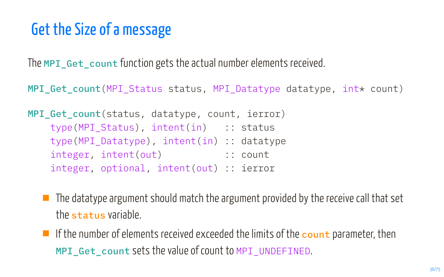### Get the Size of a message

The MPI Get count function gets the actual number elements received.

MPI Get count(MPI Status status, MPI Datatype datatype,  $int*$  count)

MPI\_Get\_count(status, datatype, count, ierror) type(MPI\_Status), intent(in) :: status  $type(MPI$  Datatype),  $int(in)$ : datatype integer, intent(out) :: count integer, optional, intent(out) :: ierror

- $\blacksquare$  The datatype argument should match the argument provided by the receive call that set the status variable.
- If the number of elements received exceeded the limits of the  $\frac{1}{2}$  count parameter, then MPI Get count sets the value of count to MPI UNDEFINED.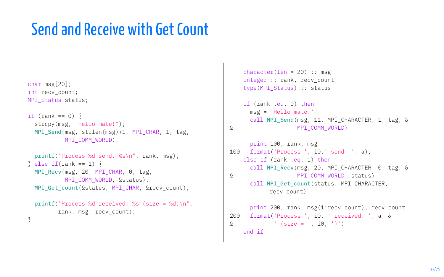### Send and Receive with Get Count

```
char msg[20];
int recv_count;
MPI_Status status;
if (rank == 0) {
  strcpy(msg, "Hello mate!");
  MPI Send(msg, strlen(msg)+1, MPI CHAR, 1, tag,
           MPI_COMM_WORLD);
  printf("Process %d send: %s\n", rank, msg);
\frac{1}{2} else if(rank == 1) \frac{1}{2}MPI_Recv(msg, 20, MPI_CHAR, 0, tag,
           MPI_COMM_WORLD, &status);
  MPI_Get_count(&status, MPI_CHAR, &recv_count);
  printf("Process %d received: %s (size = %d)\n",
         rank, msg, recv_count);
}
```

```
character(len = 20) :: msginteger :: rank, recv_count
   type(MPI_Status) :: status
   if (rank .eq. 0) then
     msg = 'Hello mate!'
     call MPI Send(msg, 11, MPI CHARACTER, 1, tag, &
& MPI_COMM_WORLD)
     print 100, rank, msg
100 format('Process ', i0,' send: ', a);
   else if (rank .eq. 1) then
     call MPI Recv(msg, 20, MPI CHARACTER, 0, tag, &
& MPI_COMM_WORLD, status)
     call MPI Get count(status, MPI CHARACTER,
          recv_count)
     print 200, rank, msg(1:recv_count), recv_count
200 format('Process ', i0, ' received: ', a, &
\& ' (size = ', i0, ')')
   end if
```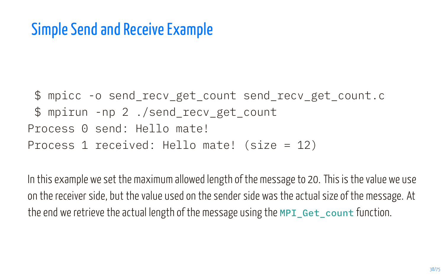# Simple Send and Receive Example

```
$ mpicc -o send_recv_get_count send_recv_get_count.c
$ mpirun -np 2./send recv get count
Process \theta send: Hello mate!
Process 1 received: Hello mate! (size = 12)
```
In this example we set the maximum allowed length of the message to 20. This is the value we use on the receiver side, but the value used on the sender side was the actual size of the message. At the end we retrieve the actual length of the message using the MPI\_Get\_count function.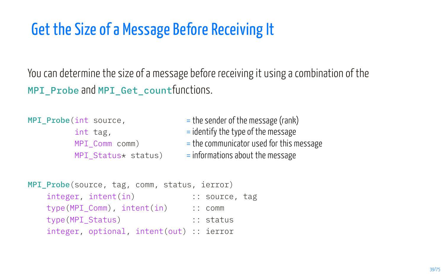## Get the Size of a Message Before Receiving It

You can determine the size of a message before receiving it using a combination of the MPI Probe and MPI Get countfunctions.

```
MPI_Probe(int source,
       int tag,
```
- $=$  the sender of the message (rank)
- = identify the type of the message
- MPI\_Comm comm) = the communicator used for this message
- MPI\_Status\* status) = informations about the message

```
MPI_Probe(source, tag, comm, status, ierror)
   integer, intent(in) :: source, tag
   type(MPI_Comm), intent(in) :: comm
   type(MPI_Status) :: status
   integer, optional, intent(out) :: ierror
```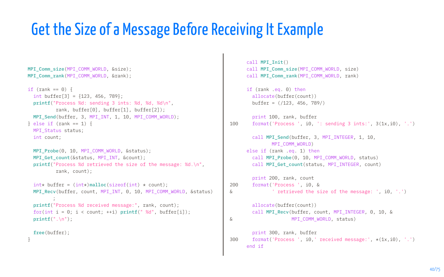#### Get the Size of a Message Before Receiving It Example

```
MPI Comm_size(MPI_COMM_WORLD, &size);
MPI_Comm_rank(MPT_COMM_WORLD, &rank);
if (rank == \theta) {
  int buffer[3] = {123.456.789};
  printf("Process %d: sending 3 ints: %d, %d, %d\n",
          rank, buffer[0], buffer[1], buffer[2]);
  MPI_Send(buffer, 3, MPI_INT, 1, 10, MPI_COMM_WORLD);
\frac{1}{2} else if (rank == 1) \frac{1}{2}MPI_Status status;
  int count;
  MPI Probe(0, 10, MPI COMM_WORLD, &status);
  MPI_Get_count(&status, MPI_INT, &count);
  printf("Process %d retrieved the size of the message: %d.\n",
          rank, count);
  int* buffer = (int*)malloc(sizeof(int) * count);
  MPI_Recv(buffer, count, MPI_INT, 0, 10, MPI_COMM_WORLD, &status)
          ;
  printf("Process %d received message:", rank, count);
  for(int i = 0; i < count; ++i) printf(" %d", buffer[i]);
  print(f'.\n\cdot):
  free(buffer);
}
```

```
call MPI_Init()
     call MPI Comm_size(MPI_COMM_WORLD, size)
     call MPI_Comm_rank(MPI_COMM_WORLD, rank)
     if (rank .eq. 0) then
       allocate(buffer(count))
       buffer = (/123, 456, 789/)
       print 100, rank, buffer
100 format('Process ', i0, ': sending 3 ints:', 3(1x,i0), '.')
       call MPI_Send(buffer, 3, MPI_INTEGER, 1, 10,
              MPT_COMM_WORLD)
     else if (rank .eq. 1) then
       call MPI Probe(0, 10, MPI_COMM_WORLD, status)
       call MPI_Get_count(status, MPI_INTEGER, count)
       print 200, rank, count
200 format('Process ', i0, &
& ' retrieved the size of the message: ', i0, '.')
       allocate(buffer(count))
       call MPI Recv(buffer, count, MPI_INTEGER, 0, 10, &
& MPI_COMM_WORLD, status)
       print 300, rank, buffer
300 format('Process ', i0,' received message:', \star(1x,i0), ',')
     end if
```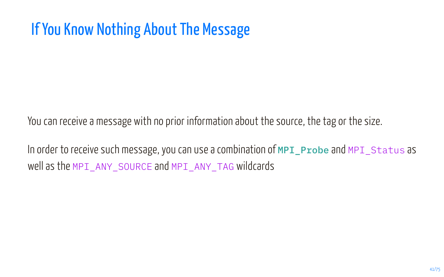# If You Know Nothing About The Message

You can receive a message with no prior information about the source, the tag or the size.

In order to receive such message, you can use a combination of MPI\_Probe and MPI\_Status as well as the MPI\_ANY\_SOURCE and MPI\_ANY\_TAG wildcards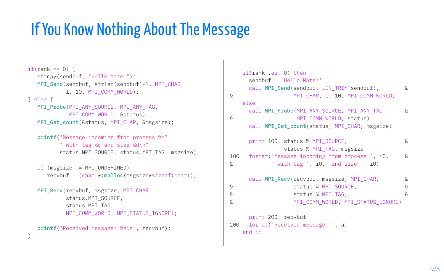## If You Know Nothing About The Message

```
if(rank == 0) {
   strcpy(sendbuf, "Hello Mate!");
   MPI_Send(sendbuf, strlen(sendbuf)+1, MPI_CHAR,
             1, 10, MPI_COMM_WORLD);
} else {
   MPI_Probe(MPI_ANY_SOURCE, MPI_ANY_TAG,
              MPI_COMM_WORLD, &status);
   MPT_Get_count(&status, MPT_CHAR, &msdsize);
   printf("Message incoming from process %d"
           " with tag %d and size %d\n"
           status.MPI_SOURCE, status.MPI_TAG, msgsize);
   if (msgsize != MPI_UNDEFINED)
      \text{revbuf} = (\text{char} \star) \text{malloc} (\text{message} \star \text{size} \cdot f(\text{char}));MPI_Recv(recvbuf, msgsize, MPI_CHAR,
             status.MPI_SOURCE,
             status.MPI_TAG,
             MPI_COMM_WORLD, MPI_STATUS_IGNORE);
   printf("Received message: %s\n", recvbuf);
}
```

```
if(rank .eq. 0) then
    sendbuf = 'Hello Mate!'
    call MPI_Send(sendbuf, LEN_TRIM(sendbuf), \&& MPI_CHAR, 1, 10, MPI_COMM_WORLD)
   else
    call MPI Probe(MPI_ANY_SOURCE, MPI_ANY_TAG, &
& MPI_COMM_WORLD, status)
    call MPI Get count(status, MPI CHAR, msgsize)
    print 100, status % MPI_SOURCE, &
             status % MPI TAG, msgsize
100 format('Message incoming from process ', i0, &
& ' with tag ', i0,' and size ', i0)
    call MPI Recv(recvbuf, msgsize, MPI CHAR, &
& status % MPI_SOURCE, &
& status % MPI_TAG, &
& MPI_COMM_WORLD, MPI_STATUS_IGNORE)
    print 200, recvbuf
200 format('Received message: ', a)
   end if
```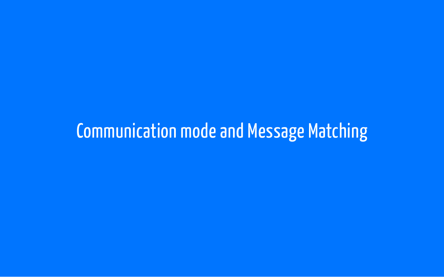Communication mode and Message Matching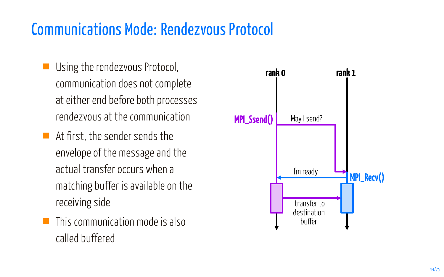#### Communications Mode: Rendezvous Protocol

- Using the rendezvous Protocol, communication does not complete at either end before both processes rendezvous at the communication
- At first, the sender sends the envelope of the message and the actual transfer occurs when a matching buffer is available on the receiving side
- This communication mode is also called buffered

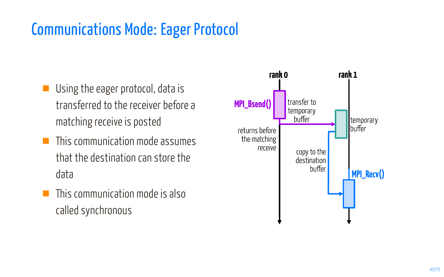# Communications Mode: Eager Protocol

- Using the eager protocol, data is transferred to the receiver before a matching receive is posted
- This communication mode assumes **Contract** that the destination can store the data
- This communication mode is also called synchronous

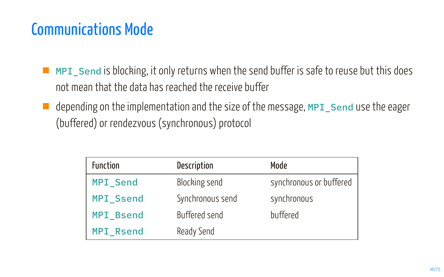#### Communications Mode

- MPI\_Send is blocking, it only returns when the send buffer is safe to reuse but this does not mean that the data has reached the receive buffer
- $\blacksquare$  depending on the implementation and the size of the message,  $MPI\_Send$  use the eager (buffered) or rendezvous (synchronous) protocol

| Function         | Description      | Mode                    |
|------------------|------------------|-------------------------|
| <b>MPI_Send</b>  | Blocking send    | synchronous or buffered |
| <b>MPI_Ssend</b> | Synchronous send | synchronous             |
| <b>MPI Bsend</b> | Buffered send    | buffered                |
| <b>MPI Rsend</b> | Ready Send       |                         |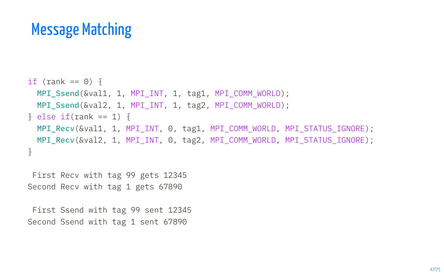```
if (rank == 0) {
 MPI Ssend(&val1, 1, MPI INT, 1, tag1, MPI COMM WORLD);
  MPI_Ssend(&val2, 1, MPI_INT, 1, tag2, MPI_COMM_WORLD);
} else if(rank == 1) \{MPI_Recv(&val1, 1, MPI_INT, 0, tag1, MPI_COMM_WORLD, MPI_STATUS_IGNORE);
 MPI Recv(&val2, 1, MPI_INT, 0, tag2, MPI_COMM_WORLD, MPI_STATUS_IGNORE);
}
```
First Recv with tag 99 gets 12345 Second Recv with tag 1 gets 67890

First Ssend with tag 99 sent 12345 Second Ssend with tag 1 sent 67890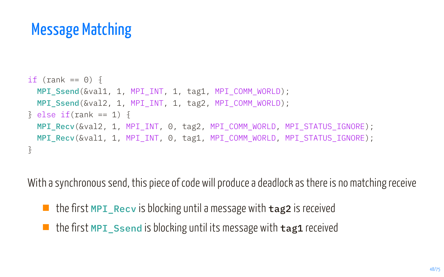```
if (rank == 0) {
  MPI Ssend(&val1, 1, MPI INT, 1, tag1, MPI COMM WORLD);
  MPI Ssend(&val2, 1, MPI INT, 1, tag2, MPI COMM WORLD);
\frac{1}{2} else if(rank == 1) \frac{1}{2}MPI_Recv(&val2, 1, MPI_INT, 0, tag2, MPI_COMM_WORLD, MPI_STATUS_IGNORE);
  MPI Recv(&val1, 1, MPI_INT, 0, tag1, MPI_COMM_WORLD, MPI_STATUS_IGNORE);
}
```
With a synchronous send, this piece of code will produce a deadlock as there is no matching receive

- $\blacksquare$  the first **MPI\_Recv** is blocking until a message with **tag2** is received
- $\blacksquare$  the first MPI ssend is blocking until its message with  $\texttt{tag1}$  received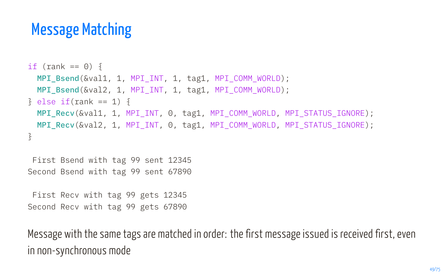```
if (rank == 0) \frac{1}{2}MPI_Bsend(&val1, 1, MPI_INT, 1, tag1, MPI_COMM_WORLD);
  MPI_Bsend(&val2, 1, MPI_INT, 1, tag1, MPI_COMM_WORLD);
\} else if(rank == 1) {
  MPI Recv(&val1, 1, MPI_INT, 0, tag1, MPI_COMM_WORLD, MPI_STATUS_IGNORE);
 MPI Recv(&val2, 1, MPI_INT, 0, tag1, MPI_COMM_WORLD, MPI_STATUS_IGNORE);
}
```
First Bsend with tag 99 sent 12345 Second Bsend with tag 99 sent 67890

First Recv with tag 99 gets 12345 Second Recv with tag 99 gets 67890

Message with the same tags are matched in order: the first message issued is received first, even in non-synchronous mode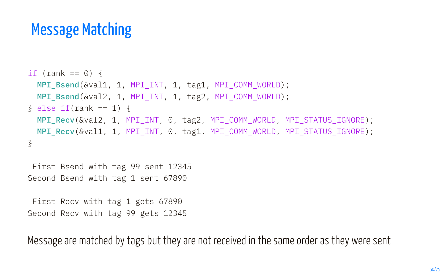```
if (rank == 0) {
 MPI_Bsend(&val1, 1, MPI_INT, 1, tag1, MPI_COMM_WORLD);
 MPI_Bsend(&val2, 1, MPI_INT, 1, tag2, MPI_COMM_WORLD);
\frac{1}{2} else if(rank == 1) {
 MPI Recv(&val2, 1, MPI_INT, 0, tag2, MPI_COMM_WORLD, MPI_STATUS_IGNORE);
 MPI Recv(&val1, 1, MPI INT, 0, tag1, MPI COMM_WORLD, MPI_STATUS_IGNORE);
}
```
First Bsend with tag 99 sent 12345 Second Bsend with tag 1 sent 67890

First Recv with tag 1 gets 67890 Second Recv with tag 99 gets 12345

Message are matched by tags but they are not received in the same order as they were sent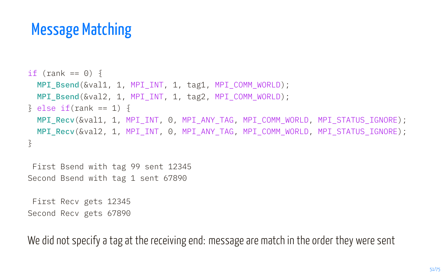```
if (rank == 0) {
 MPI_Bsend(&val1, 1, MPI_INT, 1, tag1, MPI_COMM_WORLD);
 MPI_Bsend(&val2, 1, MPI_INT, 1, tag2, MPI_COMM_WORLD);
\frac{1}{2} else if(rank == 1) {
 MPI_Recv(&val1, 1, MPI_INT, 0, MPI_ANY_TAG, MPI_COMM_WORLD, MPI_STATUS_IGNORE);
 MPI_Recv(&val2, 1, MPI_INT, 0, MPI_ANY_TAG, MPI_COMM_WORLD, MPI_STATUS_IGNORE);
}
```
First Bsend with tag 99 sent 12345 Second Bsend with tag 1 sent 67890

First Recv gets 12345 Second Recv gets 67890

We did not specify a tag at the receiving end: message are match in the order they were sent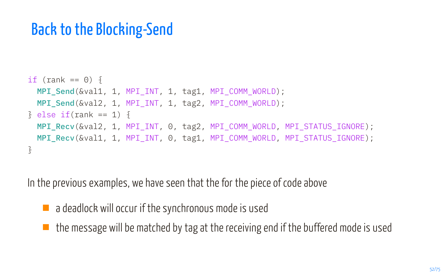# Back to the Blocking-Send

```
if (rank == \theta) {
  MPI Send(&val1, 1, MPI INT, 1, tag1, MPI COMM WORLD);
  MPI Send(&val2, 1, MPI INT, 1, tag2, MPI COMM WORLD);
\frac{1}{2} else if(rank == 1) \frac{1}{2}MPI_Recv(&val2, 1, MPI_INT, 0, tag2, MPI_COMM_WORLD, MPI_STATUS_IGNORE);
  MPI Recv(&val1, 1, MPI_INT, 0, tag1, MPI_COMM_WORLD, MPI_STATUS_IGNORE);
}
```
In the previous examples, we have seen that the for the piece of code above

- $\blacksquare$  a deadlock will occur if the synchronous mode is used
- $\blacksquare$  the message will be matched by tag at the receiving end if the buffered mode is used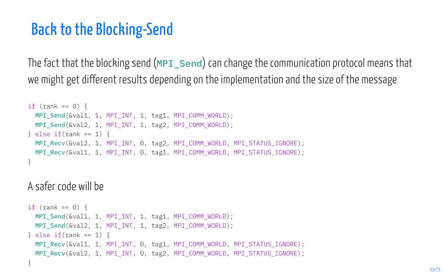#### Back to the Blocking-Send

The fact that the blocking send ( $MPI$  and) can change the communication protocol means that we might get different results depending on the implementation and the size of the message

```
if (rank == 0) {
 MPI_Send(&val1, 1, MPI_INT, 1, tag1, MPI_COMM_WORLD);
 MPI Send(&val2, 1, MPI INT, 1, tag2, MPI COMM WORLD);
\frac{1}{2} else if(rank == 1) {
 MPI_Recv(&val2, 1, MPI_INT, 0, tag2, MPI_COMM_WORLD, MPI_STATUS_IGNORE);
 MPI_Recv(&val1, 1, MPI_INT, 0, tag1, MPI_COMM_WORLD, MPI_STATUS_IGNORE);
}
```
#### A safer code will be

if (rank ==  $0)$  { MPI Send(&val1, 1, MPI INT, 1, tag1, MPI COMM WORLD); MPI\_Send(&val2, 1, MPI\_INT, 1, tag2, MPI\_COMM\_WORLD);  $\frac{1}{2}$  else if(rank == 1) { MPI\_Recv(&val1, 1, MPI\_INT, 0, tag1, MPI\_COMM\_WORLD, MPI\_STATUS\_IGNORE); MPI\_Recv(&val2, 1, MPI\_INT, 0, tag2, MPI\_COMM\_WORLD, MPI\_STATUS\_IGNORE);

}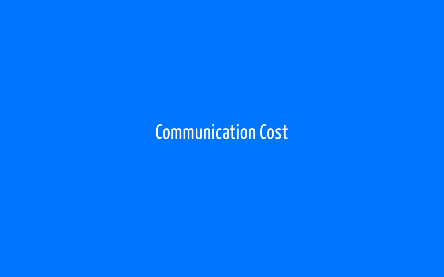# Communication Cost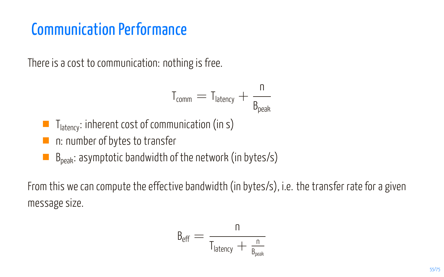#### Communication Performance

There is a cost to communication: nothing is free.

$$
T_{\text{comm}} = T_{\text{latency}} + \frac{n}{B_{\text{peak}}}
$$

- $\blacksquare$  T<sub>latency</sub>: inherent cost of communication (in s)
- n: number of bytes to transfer
- $\blacksquare$  B<sub>peak</sub>: asymptotic bandwidth of the network (in bytes/s)

From this we can compute the effective bandwidth (in bytes/s), i.e. the transfer rate for a given message size.

$$
B_{eff}=\frac{n}{T_{latency}+\frac{n}{B_{peak}}}
$$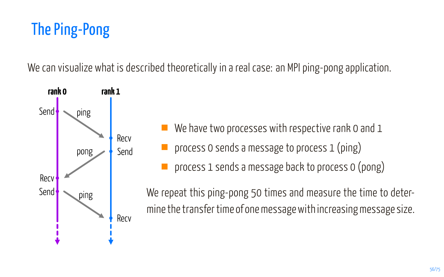# The Ping-Pong

We can visualize what is described theoretically in a real case: an MPI ping-pong application.



- We have two processes with respective rank 0 and 1 process 0 sends a message to process 1 (ping)
	- process 1 sends a message back to process 0 (pong)

We repeat this ping-pong 50 times and measure the time to determine the transfer time of one message with increasing message size.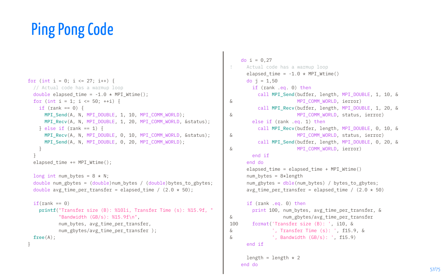# Ping Pong Code

```
for (int i = 0; i <= 27; i++) {
 // Actual code has a warmup loop
 double elapsed time = -1.0 \times MPI Wtime();
 for (int i = 1; i <= 50; ++i) \{if (rank == 0) {
     MPI_Send(A, N, MPI_DOUBLE, 1, 10, MPI_COMM_WORLD);
      MPI_Recv(A, N, MPI_DOUBLE, 1, 20, MPI_COMM_WORLD, &status);
   \frac{1}{2} else if (rank == 1) \frac{1}{2}MPI_Recv(A, N, MPI_DOUBLE, 0, 10, MPI_COMM_WORLD, &status);
      MPI_Send(A, N, MPT_DOUBLE, 0, 20, MPT_COMM_WORLD);
    }
  }
 elapsed time += MPT Wtime();
 long int num bytes = 8 * N;
 double num_gbytes = (double)num_bytes / (double)bytes to_gbytes;
 double avg_time_per_transfer = elapsed_time / (2.0 * 50);
  if(rank == 0)printf("Transfer size (B): %10li, Transfer Time (s): %15.9f, "
           "Bandwidth (GB/s): %15.9f\n",
           num_bytes, avg_time_per_transfer,
           num_gbytes/avg_time_per_transfer );
 frac(\Delta);
}
```
do  $i = 0,27$ Actual code has a warmup loop elapsed time =  $-1.0 * MPT Wtime()$ do  $j = 1,50$ if (rank .eq. 0) then call MPI Send(buffer, length, MPI\_DOUBLE, 1, 10, & & MPI\_COMM\_WORLD, ierror) call MPI Recv(buffer, length, MPI DOUBLE, 1, 20, & & MPI\_COMM\_WORLD, status, ierror) else if (rank .eq. 1) then call MPI Recv(buffer, length, MPI\_DOUBLE, 0, 10, & & MPI\_COMM\_WORLD, status, ierror) call MPI Send(buffer, length, MPI DOUBLE, 0, 20, & & MPI\_COMM\_WORLD, ierror) end if end do elapsed\_time = elapsed\_time + MPI\_Wtime() num bytes =  $8*length$ num\_gbytes = dble(num\_bytes) / bytes\_to\_gbytes; avg time per transfer = elapsed time /  $(2.0 * 50)$ if (rank .eq. 0) then print 100, num\_bytes, avg\_time\_per\_transfer, & & num\_gbytes/avg\_time\_per\_transfer 100 format('Transfer size (B): ', i10, & & ', Transfer Time (s): ', f15.9, &  $\&$  Pandwidth  $(GR/s) \cdot$  ', f15.9) end if length = length  $\star$  2 end do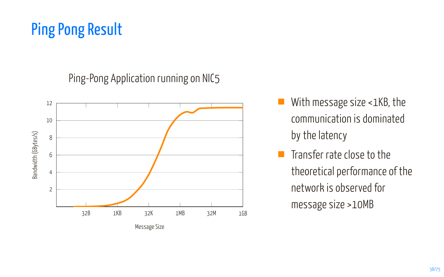# Ping Pong Result

Ping-Pong Application running on NIC5



- With message size <1KB, the  $\mathcal{L}_{\mathcal{A}}$ communication is dominated by the latency
- $\mathcal{L}_{\mathcal{A}}$ Transfer rate close to the theoretical performance of the network is observed for message size >10MB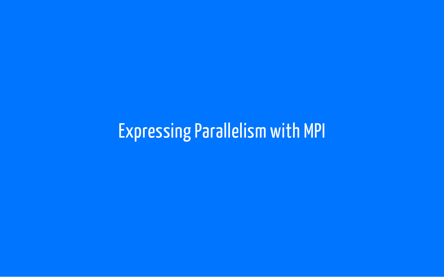Expressing Parallelism with MPI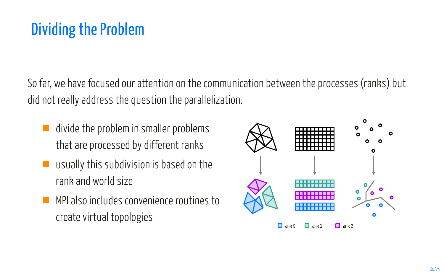# Dividing the Problem

So far, we have focused our attention on the communication between the processes (ranks) but did not really address the question the parallelization.

- divide the problem in smaller problems that are processed by different ranks
- usually this subdivision is based on the rank and world size
- MPI also includes convenience routines to create virtual topologies

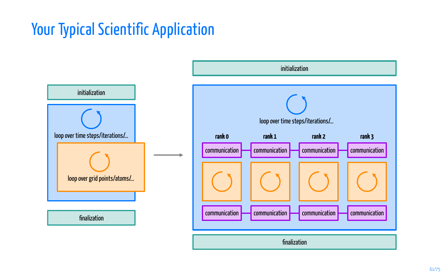# Your Typical Scientific Application

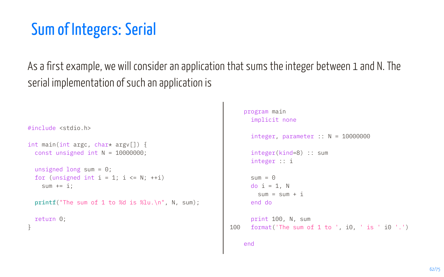# Sum of Integers: Serial

As a first example, we will consider an application that sums the integer between 1 and N. The serial implementation of such an application is

program main

```
#include <stdio.h>
int main(int argc, char* argv[]) {
 const unsigned int N = 10000000:
 unsigned long sum = 0:
 for (unsigned int i = 1; i \le N; +i)
   sum + = i:
 printf("The sum of 1 to %d is %lu.\n", N, sum);
 return 0;
}
                                                                implicit none
                                                                integer. parameter :: N = 10000000integer(kind=8) :: sum
                                                                integer :: i
                                                                sum = 0do i = 1, N
                                                                  sum = sum + iend do
                                                                print 100, N, sum
                                                          100 format('The sum of 1 to ', i0, ' is ' i0 '.')
                                                              end
```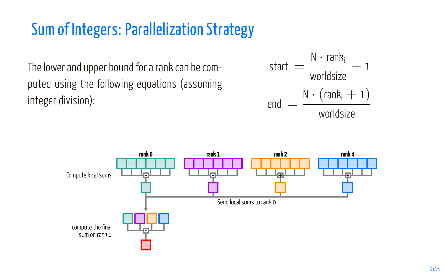# Sum of Integers: Parallelization Strategy

The lower and upper bound for a rank can be computed using the following equations (assuming integer division):



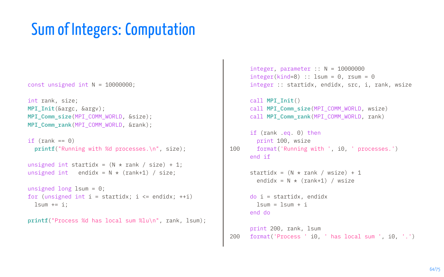#### Sum of Integers: Computation

```
const unsigned int N = 10000000;
int rank, size;
MPI Init(&argc, &argy);
MPI_Comm_size(MPI_COMM_WORLD, &size);
MPI_Comm_rank(MPI_COMM_WORLD, &rank);
if (rank == 0)printf("Running with %d processes.\n", size);
unsigned int startidx = (N * rank / size) + 1;
unsigned int endidx = N * (rank+1) / size;
unsigned long lsum = 0;
for (unsigned int i = startidx; i \le endidx; ++i)
 lsum += i:
printf("Process %d has local sum %lu\n", rank, lsum);
```

```
integer, parameter :: N = 10000000
      integer(kind=8) :: lsum = 0, rsum = 0
      integer :: startidx, endidx, src, i, rank, wsize
      call MPI_Init()
      call MPI Comm_size(MPI_COMM_WORLD, wsize)
      call MPI Comm_rank(MPI_COMM_WORLD, rank)
      if (rank .eq. 0) then
       print 100, wsize
100 format('Running with ', i0, ' processes.')
     end if
      startidx = (N * rank / wsize) + 1endidx = N * (rank+1) / wsizedo i = startidx, endidx
       lsum = lsum + iend do
      print 200, rank, lsum
200 format('Process ' i0, ' has local sum ', i0, '.')
```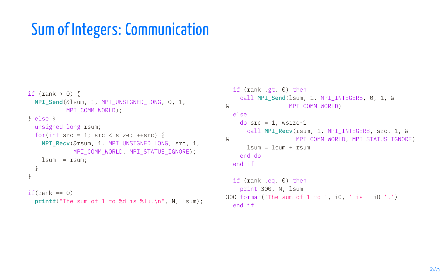#### Sum of Integers: Communication

```
if (rank > 0) {
  MPI_Send(&lsum, 1, MPI_UNSIGNED_LONG, 0, 1,
           MPI_COMM_WORLD);
} else {
  unsigned long rsum;
  for(int src = 1; src < size; ++src) {
    MPI_Recv(&rsum, 1, MPI_UNSIGNED_LONG, src, 1,
             MPI_COMM_WORLD, MPI_STATUS_IGNORE);
    lsum += rsum:
  }
}
if(rank == 0)printf("The sum of 1 to %d is %lu.\n", N, lsum);
```

```
if (rank .gt. 0) then
   call MPI Send(lsum, 1, MPI INTEGER8, 0, 1, &
& MPI_COMM_WORLD)
 else
   do src = 1, wsize-1
     call MPI_Recv(rsum, 1, MPI_INTEGER8, src, 1, &
& MPI_COMM_WORLD, MPI_STATUS_IGNORE)
     lsum = lsum + rsumend do
 end if
 if (rank .eq. 0) then
   print 300, N, lsum
300 format('The sum of 1 to ', i0, ' is ' i0 '.')
 end if
```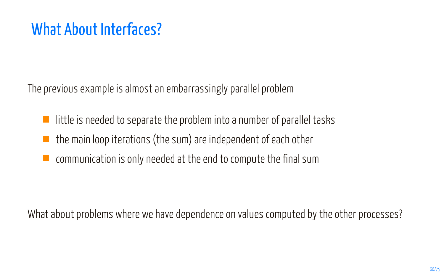# What About Interfaces?

The previous example is almost an embarrassingly parallel problem

- little is needed to separate the problem into a number of parallel tasks
- the main loop iterations (the sum) are independent of each other
- communication is only needed at the end to compute the final sum

What about problems where we have dependence on values computed by the other processes?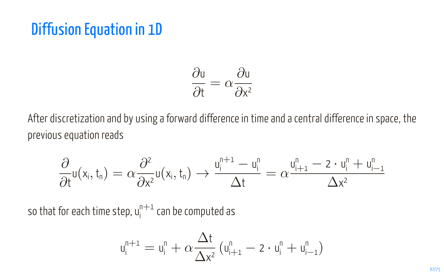#### Diffusion Equation in 1D

$$
\frac{\partial u}{\partial t} = \alpha \frac{\partial u}{\partial x^2}
$$

After discretization and by using a forward difference in time and a central difference in space, the previous equation reads

$$
\frac{\partial}{\partial t} u(x_i,t_n) = \alpha \frac{\partial^2}{\partial x^2} u(x_i,t_n) \to \frac{u_i^{n+1} - u_i^n}{\Delta t} = \alpha \frac{u_{i+1}^n - 2 \cdot u_i^n + u_{i-1}^n}{\Delta x^2}
$$

so that for each time step,  $u_i^{n+1}$  can be computed as i

$$
u_i^{n+1} = u_i^n + \alpha \frac{\Delta t}{\Delta x^2} \left( u_{i+1}^n - 2 \cdot u_i^n + u_{i-1}^n \right)
$$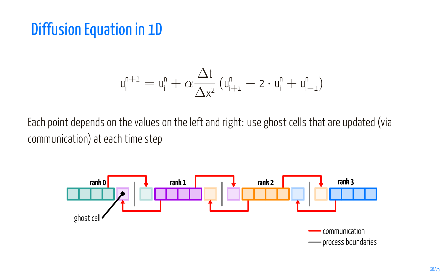#### Diffusion Equation in 1D

$$
u_i^{n+1} = u_i^n + \alpha \frac{\Delta t}{\Delta x^2} (u_{i+1}^n - 2 \cdot u_i^n + u_{i-1}^n)
$$

Each point depends on the values on the left and right: use ghost cells that are updated (via communication) at each time step

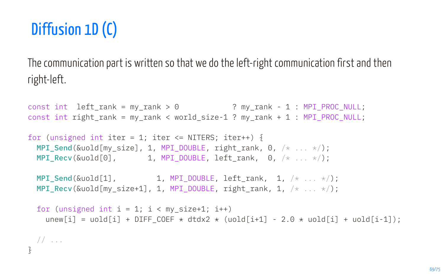# Diffusion 1D (C)

The communication part is written so that we do the left-right communication first and then right-left.

```
const int left rank = my_rank > 0 ? my_rank - 1 : MPI_PROC_NULL;
const int right rank = my_rank < world_size-1 ? my_rank + 1 : MPI_PROC_NULL;
for (unsigned int iter = 1; iter \leq NITERS; iter++) {
 MPI Send(&uold[my_size], 1, MPI_DOUBLE, right_rank, 0, /\star ... \star);
 MPI\_Recv(\&uold[0], 1, MPI_DOUBLE, left rank, 0, /* ... */);
 MPI_Send(&uold[1], 1, MPI_DOUBLE, left_rank, 1, /* ... */);
 MPI_Recv(&uold[my_size+1], 1, MPI_DOUBLE, right_rank, 1, /* ... */);
 for (unsigned int i = 1; i < mv size+1; i++)unew[i] = uold[i] + DIFF COEF \star dtdx2 \star (uold[i+1] - 2.0 \star uold[i] + uold[i-1]);
  // ...
}
```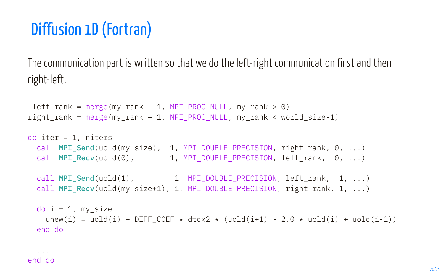# Diffusion 1D (Fortran)

The communication part is written so that we do the left-right communication first and then right-left.

```
left rank = merge(my_rank - 1, MPI_PROC_NULL, my_rank > 0)
right rank = merge(my_rank + 1, MPI_PROC_NULL, my_rank < world size-1)
do iter = 1, niters
 call MPI Send(uold(my_size), 1, MPI_DOUBLE_PRECISION, right_rank, 0, \ldots)
 call MPI\_Rev(uold(0), 1, MPI_DOUBLE_PRECISION, left rank, 0, ...)
 call MPI_Send(uold(1), \qquad 1, MPI_DOUBLE_PRECISION, left rank, 1, ...)
 call MPI_Recv(uold(my_size+1), 1, MPI_DOUBLE_PRECISION, right_rank, 1, ...)
 do i = 1, my size
   unew(i) = uold(i) + DIFF_COEF * dtdx2 * (uold(i+1) - 2.0 * uold(i) + uold(i-1))
 end do
```

```
! ...
end do
```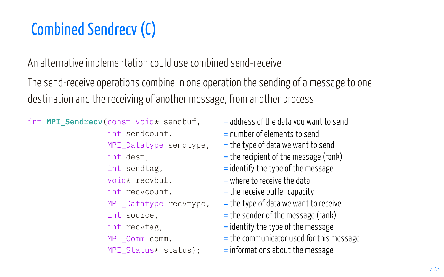# Combined Sendrecv (C)

An alternative implementation could use combined send-receive

The send-receive operations combine in one operation the sending of a message to one destination and the receiving of another message, from another process

int MPI\_Sendrecv(const void\* sendbuf, int sendcount, MPI Datatype sendtype, int dest, int sendtag, void\* recvbuf, int recvcount, MPI\_Datatype recvtype, int source, int recvtag, MPI\_Comm comm, MPI\_Status\* status); = informations about the message

- = address of the data you want to send
- = number of elements to send
- = the type of data we want to send
- $=$  the recipient of the message (rank)
- = identify the type of the message
- $=$  where to receive the data
- $=$  the receive buffer capacity
- = the type of data we want to receive
- = the sender of the message (rank)
- = identify the type of the message
- = the communicator used for this message
-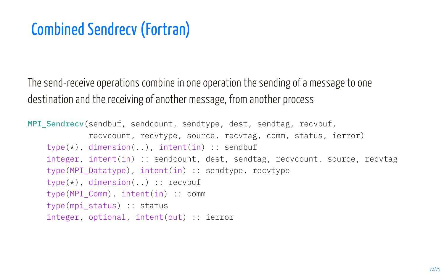# Combined Sendrecv (Fortran)

The send-receive operations combine in one operation the sending of a message to one destination and the receiving of another message, from another process

```
MPI_Sendrecv(sendbuf, sendcount, sendtype, dest, sendtag, recvbuf,
             recvcount, recvtype, source, recvtag, comm, status, ierror)
    type(*), dimension(..), intent(in) :: sendbuf
    integer, intent(in) :: sendcount, dest, sendtag, recvcount, source, recvtag
    type(MPI_Datatype), intent(in) :: sendtype, recvtype
    type(*), dimension(..) :: recvbuf
    type(MPI_Comm), intent(in) :: comm
    type(mpi_status) :: status
    integer, optional, intent(out) :: ierror
```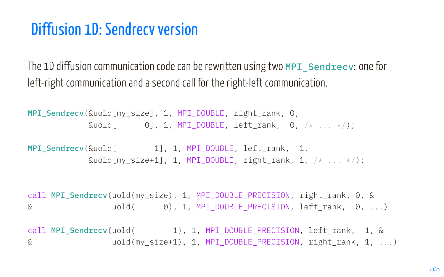## Diffusion 1D: Sendrecv version

The 1D diffusion communication code can be rewritten using two **MPI\_Sendrecv:** one for left-right communication and a second call for the right-left communication.

```
MPI Sendrecv(&uold[my_size], 1, MPI_DOUBLE, right_rank, 0,
 \text{Quold} 0], 1, MPI_DOUBLE, left rank, 0, /* ... */);
```
MPI\_Sendrecv(&uold[ 1], 1, MPI\_DOUBLE, left\_rank, 1, &uold[my\_size+1], 1, MPI\_DOUBLE, right\_rank, 1,  $/* ... */$ ;

call MPI Sendrecv(uold(my\_size), 1, MPI\_DOUBLE\_PRECISION, right\_rank, 0, &  $\&$  uold( 0), 1, MPI\_DOUBLE\_PRECISION, left\_rank, 0, ...)

call MPI\_Sendrecv(uold( 1), 1, MPI\_DOUBLE\_PRECISION, left rank, 1, & & uold(my\_size+1), 1, MPI\_DOUBLE\_PRECISION, right\_rank, 1, ...)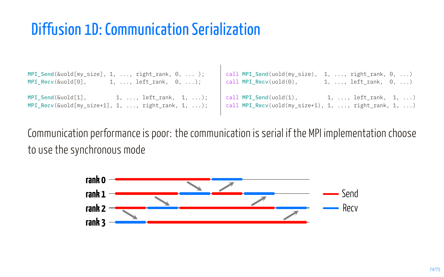## Diffusion 1D: Communication Serialization

| $MPI\_Send(\&uold[my_size], 1, , right\_rank, 0, );$   | call MPI_Send(uold(my_size), $1, \ldots,$ right_rank, $0, \ldots$ ) |
|--------------------------------------------------------|---------------------------------------------------------------------|
| $MPI$ $Recv$ ( $\&$ uo $1d$ [0],                       | $call MPI\_Recv(uold(0)),$                                          |
| $1, \ldots,$ left_rank, $0, \ldots);$                  | $1, \ldots,$ left rank, $0, \ldots$ )                               |
| MPI Send(&uold[1],                                     | call MPI_Send(uold(1),                                              |
| $1, \ldots,$ left_rank, $1, \ldots$ ;                  | $1, \ldots,$ left rank, $1, \ldots$ )                               |
| $MPI\_Rev(\& uold[my_size+1], 1, , right_name, 1, )$ ; | call $MPI\_Rev(uold(my_size+1), 1, , right_name, 1, )$              |

 $\mathbf{r}$ 

Communication performance is poor: the communication is serial if the MPI implementation choose to use the synchronous mode